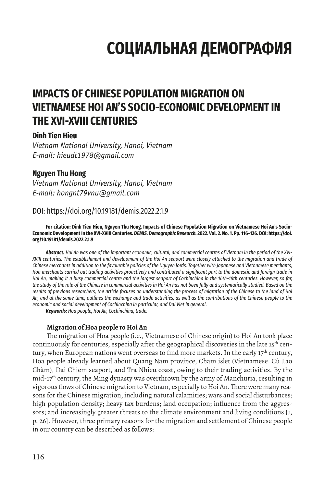# **СОЦИАЛЬНАЯ ДЕМОГРАФИЯ**

# **IMPACTS OF CHINESE POPULATION MIGRATION ON VIETNAMESE HOI AN'S SOCIO-ECONOMIC DEVELOPMENT IN THE XVI-XVIII CENTURIES**

### **Dinh Tien Hieu**

*Vietnam National University, Hanoi, Vietnam E-mail: hieudt1978@gmail.com*

## **Nguyen Thu Hong**

*Vietnam National University, Hanoi, Vietnam E-mail: hongnt79vnu@gmail.com*

# DOI: https://doi.org/10.19181/demis.2022.2.1.9

**For citation: Dinh Tien Hieu, Nguyen Thu Hong. Impacts of Chinese Population Migration on Vietnamese Hoi An's Socio-Economic Development in the XVI-XVIII Centuries.** *DEMIS. Demographic Research.* **2022. Vol. 2. No. 1. Pp. 116–126. DOI: https://doi. org/10.19181/demis.2022.2.1.9**

*Abstract. Hoi An was one of the important economic, cultural, and commercial centres of Vietnam in the period of the XVI-XVIII centuries. The establishment and development of the Hoi An seaport were closely attached to the migration and trade of Chinese merchants in addition to the favourable policies of the Nguyen lords. Together with Japanese and Vietnamese merchants, Hoa merchants carried out trading activities proactively and contributed a significant part to the domestic and foreign trade in Hoi An, making it a busy commercial centre and the largest seaport of Cochinchina in the 16th–18th centuries. However, so far, the study of the role of the Chinese in commercial activities in Hoi An has not been fully and systematically studied. Based on the results of previous researchers, the article focuses on understanding the process of migration of the Chinese to the land of Hoi An, and at the same time, outlines the exchange and trade activities, as well as the contributions of the Chinese people to the economic and social development of Cochinchina in particular, and Dai Viet in general.*

*Keywords: Hoa people, Hoi An, Cochinchina, trade.*

#### **Migration of Hoa people to Hoi An**

The migration of Hoa people (i.e., Vietnamese of Chinese origin) to Hoi An took place continuously for centuries, especially after the geographical discoveries in the late 15<sup>th</sup> century, when European nations went overseas to find more markets. In the early  $17<sup>th</sup>$  century, Hoa people already learned about Quang Nam province, Cham islet (Vietnamese: Cù Lao Chàm), Dai Chiem seaport, and Tra Nhieu coast, owing to their trading activities. By the  $mid-17<sup>th</sup>$  century, the Ming dynasty was overthrown by the army of Manchuria, resulting in vigorous flows of Chinese migration to Vietnam, especially to Hoi An. There were many reasons for the Chinese migration, including natural calamities; wars and social disturbances; high population density; heavy tax burdens; land occupation; influence from the aggressors; and increasingly greater threats to the climate environment and living conditions [1, p. 26]. However, three primary reasons for the migration and settlement of Chinese people in our country can be described as follows: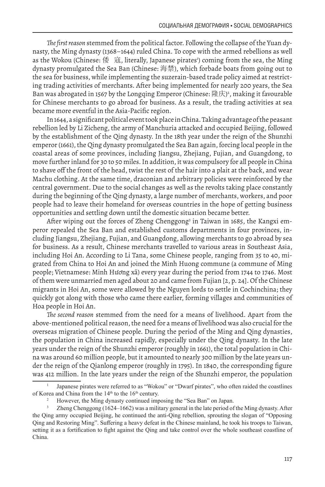*The first reason* stemmed from the political factor. Following the collapse of the Yuan dynasty, the Ming dynasty (1368–1644) ruled China. To cope with the armed rebellions as well as the Wokou (Chinese: 倭 寇, literally, Japanese pirates') coming from the sea, the Ming dynasty promulgated the Sea Ban (Chinese: 海禁), which forbade boats from going out to the sea for business, while implementing the suzerain-based trade policy aimed at restricting trading activities of merchants. After being implemented for nearly 200 years, the Sea Ban was abrogated in 1567 by the Longqing Emperor (Chinese: 隆庆) 2 , making it favourable for Chinese merchants to go abroad for business. As a result, the trading activities at sea became more eventful in the Asia-Pacific region.

In 1644, a significant political event took place in China. Taking advantage of the peasant rebellion led by Li Zicheng, the army of Manchuria attacked and occupied Beijing, followed by the establishment of the Qing dynasty. In the 18th year under the reign of the Shunzhi emperor (1661), the Qing dynasty promulgated the Sea Ban again, forcing local people in the coastal areas of some provinces, including Jiangsu, Zhejiang, Fujian, and Guangdong, to move further inland for 30 to 50 miles. In addition, it was compulsory for all people in China to shave off the front of the head, twist the rest of the hair into a plait at the back, and wear Machu clothing. At the same time, draconian and arbitrary policies were reinforced by the central government. Due to the social changes as well as the revolts taking place constantly during the beginning of the Qing dynasty, a large number of merchants, workers, and poor people had to leave their homeland for overseas countries in the hope of getting business opportunities and settling down until the domestic situation became better.

After wiping out the forces of Zheng Chenggong<sup>3</sup> in Taiwan in 1685, the Kangxi emperor repealed the Sea Ban and established customs departments in four provinces, including Jiangsu, Zhejiang, Fujian, and Guangdong, allowing merchants to go abroad by sea for business. As a result, Chinese merchants travelled to various areas in Southeast Asia, including Hoi An. According to Li Tana, some Chinese people, ranging from 35 to 40, migrated from China to Hoi An and joined the Minh Huong commune (a commune of Ming people; Vietnamese: Minh Hương xã) every year during the period from 1744 to 1746. Most of them were unmarried men aged about 20 and came from Fujian [2, p. 24]. Of the Chinese migrants in Hoi An, some were allowed by the Nguyen lords to settle in Cochinchina; they quickly got along with those who came there earlier, forming villages and communities of Hoa people in Hoi An.

*The second reason* stemmed from the need for a means of livelihood. Apart from the above-mentioned political reason, the need for a means of livelihood was also crucial for the overseas migration of Chinese people. During the period of the Ming and Qing dynasties, the population in China increased rapidly, especially under the Qing dynasty. In the late years under the reign of the Shunzhi emperor (roughly in 1661), the total population in China was around 60 million people, but it amounted to nearly 300 million by the late years under the reign of the Qianlong emperor (roughly in 1795). In 1840, the corresponding figure was 412 million. In the late years under the reign of the Shunzhi emperor, the population

<sup>1</sup> Japanese pirates were referred to as "Wokou" or "Dwarf pirates", who often raided the coastlines % of Korea and China from the  $14<sup>th</sup>$  to the  $16<sup>th</sup>$  century.<br><sup>2</sup> However, the Ming dynasty continued imposing the "Sea Ban" on Japan.<br><sup>3</sup> Zheng Chenggong (1624–1662) was a military general in the late neriod of

<sup>3</sup> Zheng Chenggong (1624–1662) was a military general in the late period of the Ming dynasty. After the Qing army occupied Beijing, he continued the anti-Qing rebellion, sprouting the slogan of "Opposing Qing and Restoring Ming". Suffering a heavy defeat in the Chinese mainland, he took his troops to Taiwan, setting it as a fortification to fight against the Qing and take control over the whole southeast coastline of China.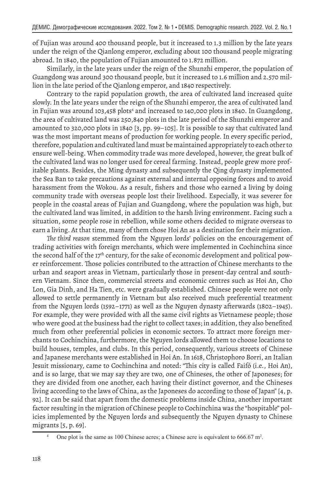of Fujian was around 400 thousand people, but it increased to 1.3 million by the late years under the reign of the Qianlong emperor, excluding about 100 thousand people migrating abroad. In 1840, the population of Fujian amounted to 1.872 million.

Similarly, in the late years under the reign of the Shunzhi emperor, the population of Guangdong was around 300 thousand people, but it increased to 1.6 million and 2.570 million in the late period of the Qianlong emperor, and 1840 respectively.

Contrary to the rapid population growth, the area of cultivated land increased quite slowly. In the late years under the reign of the Shunzhi emperor, the area of cultivated land in Fujian was around 103,458 plots<sup>4</sup> and increased to 140,000 plots in 1840. In Guangdong, the area of cultivated land was 250,840 plots in the late period of the Shunzhi emperor and amounted to 320,000 plots in 1840 [3, pp. 99–105]. It is possible to say that cultivated land was the most important means of production for working people. In every specific period, therefore, population and cultivated land must be maintained appropriately to each other to ensure well-being. When commodity trade was more developed, however, the great bulk of the cultivated land was no longer used for cereal farming. Instead, people grew more profitable plants. Besides, the Ming dynasty and subsequently the Qing dynasty implemented the Sea Ban to take precautions against external and internal opposing forces and to avoid harassment from the Wokou. As a result, fishers and those who earned a living by doing community trade with overseas people lost their livelihood. Especially, it was severer for people in the coastal areas of Fujian and Guangdong, where the population was high, but the cultivated land was limited, in addition to the harsh living environment. Facing such a situation, some people rose in rebellion, while some others decided to migrate overseas to earn a living. At that time, many of them chose Hoi An as a destination for their migration.

*The third reason* stemmed from the Nguyen lords' policies on the encouragement of trading activities with foreign merchants, which were implemented in Cochinchina since the second half of the 17<sup>th</sup> century, for the sake of economic development and political power reinforcement. Those policies contributed to the attraction of Chinese merchants to the urban and seaport areas in Vietnam, particularly those in present-day central and southern Vietnam. Since then, commercial streets and economic centres such as Hoi An, Cho Lon, Gia Dinh, and Ha Tien, etc. were gradually established. Chinese people were not only allowed to settle permanently in Vietnam but also received much preferential treatment from the Nguyen lords (1592–1771) as well as the Nguyen dynasty afterwards (1802–1945). For example, they were provided with all the same civil rights as Vietnamese people; those who were good at the business had the right to collect taxes; in addition, they also benefited much from other preferential policies in economic sectors. To attract more foreign merchants to Cochinchina, furthermore, the Nguyen lords allowed them to choose locations to build houses, temples, and clubs. In this period, consequently, various streets of Chinese and Japanese merchants were established in Hoi An. In 1618, Christophoro Borri, an Italian Jesuit missionary, came to Cochinchina and noted: "This city is called Faifó (i.e., Hoi An), and is so large, that we may say they are two, one of Chineses, the other of Japoneses; for they are divided from one another, each having their distinct governor, and the Chineses living according to the laws of China, as the Japoneses do according to those of Japan" [4, p. 92]. It can be said that apart from the domestic problems inside China, another important factor resulting in the migration of Chinese people to Cochinchina was the "hospitable" policies implemented by the Nguyen lords and subsequently the Nguyen dynasty to Chinese migrants [5, p. 69].

<sup>&</sup>lt;sup>4</sup> One plot is the same as 100 Chinese acres; a Chinese acre is equivalent to 666.67 m<sup>2</sup>.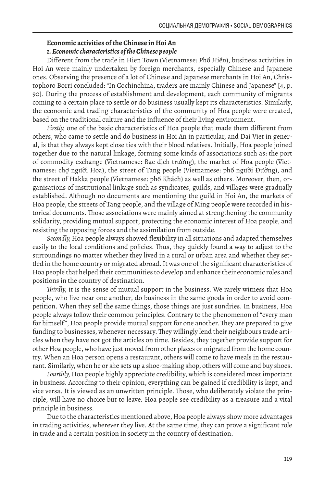#### **Economic activities of the Chinese in Hoi An** *1. Economic characteristics of the Chinese people*

Different from the trade in Hien Town (Vietnamese: Phố Hiến), business activities in Hoi An were mainly undertaken by foreign merchants, especially Chinese and Japanese ones. Observing the presence of a lot of Chinese and Japanese merchants in Hoi An, Christophoro Borri concluded: "In Cochinchina, traders are mainly Chinese and Japanese" [4, p. 90]. During the process of establishment and development, each community of migrants coming to a certain place to settle or do business usually kept its characteristics. Similarly, the economic and trading characteristics of the community of Hoa people were created, based on the traditional culture and the influence of their living environment.

*Firstly,* one of the basic characteristics of Hoa people that made them different from others, who came to settle and do business in Hoi An in particular, and Dai Viet in general, is that they always kept close ties with their blood relatives. Initially, Hoa people joined together due to the natural linkage, forming some kinds of associations such as: the port of commodity exchange (Vietnamese: Bạc dịch trường), the market of Hoa people (Vietnamese: chợ người Hoa), the street of Tang people (Vietnamese: phố người Đường), and the street of Hakka people (Vietnamese: phố Khách) as well as others. Moreover, then, organisations of institutional linkage such as syndicates, guilds, and villages were gradually established. Although no documents are mentioning the guild in Hoi An, the markets of Hoa people, the streets of Tang people, and the village of Ming people were recorded in historical documents. Those associations were mainly aimed at strengthening the community solidarity, providing mutual support, protecting the economic interest of Hoa people, and resisting the opposing forces and the assimilation from outside.

*Secondly,* Hoa people always showed flexibility in all situations and adapted themselves easily to the local conditions and policies. Thus, they quickly found a way to adjust to the surroundings no matter whether they lived in a rural or urban area and whether they settled in the home country or migrated abroad. It was one of the significant characteristics of Hoa people that helped their communities to develop and enhance their economic roles and positions in the country of destination.

*Thirdly,* it is the sense of mutual support in the business. We rarely witness that Hoa people, who live near one another, do business in the same goods in order to avoid competition. When they sell the same things, those things are just sundries. In business, Hoa people always follow their common principles. Contrary to the phenomenon of "every man for himself", Hoa people provide mutual support for one another. They are prepared to give funding to businesses, whenever necessary. They willingly lend their neighbours trade articles when they have not got the articles on time. Besides, they together provide support for other Hoa people, who have just moved from other places or migrated from the home country. When an Hoa person opens a restaurant, others will come to have meals in the restaurant. Similarly, when he or she sets up a shoe-making shop, others will come and buy shoes.

*Fourthly,* Hoa people highly appreciate credibility, which is considered most important in business. According to their opinion, everything can be gained if credibility is kept, and vice versa. It is viewed as an unwritten principle. Those, who deliberately violate the principle, will have no choice but to leave. Hoa people see credibility as a treasure and a vital principle in business.

Due to the characteristics mentioned above, Hoa people always show more advantages in trading activities, wherever they live. At the same time, they can prove a significant role in trade and a certain position in society in the country of destination.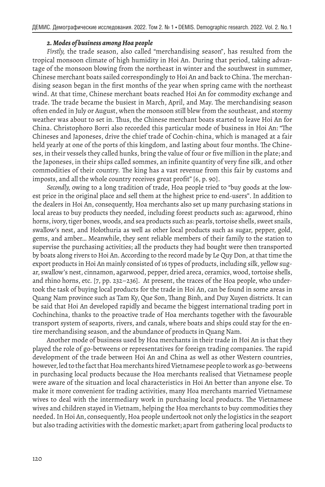#### *2. Modes of business among Hoa people*

*Firstly,* the trade season, also called "merchandising season", has resulted from the tropical monsoon climate of high humidity in Hoi An. During that period, taking advantage of the monsoon blowing from the northeast in winter and the southwest in summer, Chinese merchant boats sailed correspondingly to Hoi An and back to China. The merchandising season began in the first months of the year when spring came with the northeast wind. At that time, Chinese merchant boats reached Hoi An for commodity exchange and trade. The trade became the busiest in March, April, and May. The merchandising season often ended in July or August, when the monsoon still blew from the southeast, and stormy weather was about to set in. Thus, the Chinese merchant boats started to leave Hoi An for China. Christophoro Borri also recorded this particular mode of business in Hoi An: "The Chineses and Japoneses, drive the chief trade of Cochin-china, which is managed at a fair held yearly at one of the ports of this kingdom, and lasting about four months. The Chineses, in their vessels they called hunks, bring the value of four or five million in the plate; and the Japoneses, in their ships called sommes, an infinite quantity of very fine silk, and other commodities of their country. The king has a vast revenue from this fair by customs and imposts, and all the whole country receives great profit" [6, p. 90].

*Secondly,* owing to a long tradition of trade, Hoa people tried to "buy goods at the lowest price in the original place and sell them at the highest price to end-users". In addition to the dealers in Hoi An, consequently, Hoa merchants also set up many purchasing stations in local areas to buy products they needed, including forest products such as: agarwood, rhino horns, ivory, tiger bones, woods, and sea products such as: pearls, tortoise shells, sweet snails, swallow's nest, and Holothuria as well as other local products such as sugar, pepper, gold, gems, and amber… Meanwhile, they sent reliable members of their family to the station to supervise the purchasing activities; all the products they had bought were then transported by boats along rivers to Hoi An. According to the record made by Le Quy Don, at that time the export products in Hoi An mainly consisted of 16 types of products, including silk, yellow sugar, swallow's nest, cinnamon, agarwood, pepper, dried areca, ceramics, wood, tortoise shells, and rhino horns, etc. [7, pp. 232–236]. At present, the traces of the Hoa people, who undertook the task of buying local products for the trade in Hoi An, can be found in some areas in Quang Nam province such as Tam Ky, Que Son, Thang Binh, and Duy Xuyen districts. It can be said that Hoi An developed rapidly and became the biggest international trading port in Cochinchina, thanks to the proactive trade of Hoa merchants together with the favourable transport system of seaports, rivers, and canals, where boats and ships could stay for the entire merchandising season, and the abundance of products in Quang Nam.

Another mode of business used by Hoa merchants in their trade in Hoi An is that they played the role of go-betweens or representatives for foreign trading companies. The rapid development of the trade between Hoi An and China as well as other Western countries, however, led to the fact that Hoa merchants hired Vietnamese people to work as go-betweens in purchasing local products because the Hoa merchants realised that Vietnamese people were aware of the situation and local characteristics in Hoi An better than anyone else. To make it more convenient for trading activities, many Hoa merchants married Vietnamese wives to deal with the intermediary work in purchasing local products. The Vietnamese wives and children stayed in Vietnam, helping the Hoa merchants to buy commodities they needed. In Hoi An, consequently, Hoa people undertook not only the logistics in the seaport but also trading activities with the domestic market; apart from gathering local products to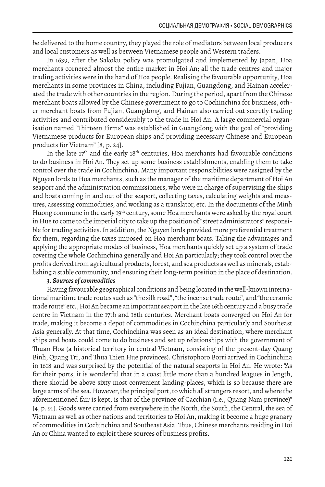be delivered to the home country, they played the role of mediators between local producers and local customers as well as between Vietnamese people and Western traders.

In 1639, after the Sakoku policy was promulgated and implemented by Japan, Hoa merchants cornered almost the entire market in Hoi An; all the trade centres and major trading activities were in the hand of Hoa people. Realising the favourable opportunity, Hoa merchants in some provinces in China, including Fujian, Guangdong, and Hainan accelerated the trade with other countries in the region. During the period, apart from the Chinese merchant boats allowed by the Chinese government to go to Cochinchina for business, other merchant boats from Fujian, Guangdong, and Hainan also carried out secretly trading activities and contributed considerably to the trade in Hoi An. A large commercial organisation named "Thirteen Firms" was established in Guangdong with the goal of "providing Vietnamese products for European ships and providing necessary Chinese and European products for Vietnam" [8, p. 24].

In the late  $17<sup>th</sup>$  and the early  $18<sup>th</sup>$  centuries, Hoa merchants had favourable conditions to do business in Hoi An. They set up some business establishments, enabling them to take control over the trade in Cochinchina. Many important responsibilities were assigned by the Nguyen lords to Hoa merchants, such as the manager of the maritime department of Hoi An seaport and the administration commissioners, who were in charge of supervising the ships and boats coming in and out of the seaport, collecting taxes, calculating weights and measures, assessing commodities, and working as a translator, etc. In the documents of the Minh Huong commune in the early 19<sup>th</sup> century, some Hoa merchants were asked by the royal court in Hue to come to the imperial city to take up the position of "street administrators" responsible for trading activities. In addition, the Nguyen lords provided more preferential treatment for them, regarding the taxes imposed on Hoa merchant boats. Taking the advantages and applying the appropriate modes of business, Hoa merchants quickly set up a system of trade covering the whole Cochinchina generally and Hoi An particularly; they took control over the profits derived from agricultural products, forest, and sea products as well as minerals, establishing a stable community, and ensuring their long-term position in the place of destination.

#### *3. Sources of commodities*

Having favourable geographical conditions and being located in the well-known international maritime trade routes such as "the silk road", "the incense trade route", and "the ceramic trade route" etc., Hoi An became an important seaport in the late 16th century and a busy trade centre in Vietnam in the 17th and 18th centuries. Merchant boats converged on Hoi An for trade, making it become a depot of commodities in Cochinchina particularly and Southeast Asia generally. At that time, Cochinchina was seen as an ideal destination, where merchant ships and boats could come to do business and set up relationships with the government of Thuan Hoa (a historical territory in central Vietnam, consisting of the present-day Quang Binh, Quang Tri, and Thua Thien Hue provinces). Christophoro Borri arrived in Cochinchina in 1618 and was surprised by the potential of the natural seaports in Hoi An. He wrote: "As for their ports, it is wonderful that in a coast little more than a hundred leagues in length, there should be above sixty most convenient landing-places, which is so because there are large arms of the sea. However, the principal port, to which all strangers resort, and where the aforementioned fair is kept, is that of the province of Cacchian (i.e., Quang Nam province)" [4, p. 91]. Goods were carried from everywhere in the North, the South, the Central, the sea of Vietnam as well as other nations and territories to Hoi An, making it become a huge granary of commodities in Cochinchina and Southeast Asia. Thus, Chinese merchants residing in Hoi An or China wanted to exploit these sources of business profits.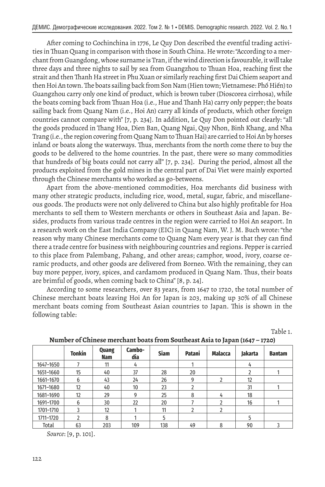After coming to Cochinchina in 1776, Le Quy Don described the eventful trading activities in Thuan Quang in comparison with those in South China. He wrote: "According to a merchant from Guangdong, whose surname is Tran, if the wind direction is favourable, it will take three days and three nights to sail by sea from Guangzhou to Thuan Hoa, reaching first the strait and then Thanh Ha street in Phu Xuan or similarly reaching first Dai Chiem seaport and then Hoi An town. The boats sailing back from Son Nam (Hien town; Vietnamese: Phố Hiến) to Guangzhou carry only one kind of product, which is brown tuber (Dioscorea cirrhosa), while the boats coming back from Thuan Hoa (i.e., Hue and Thanh Ha) carry only pepper; the boats sailing back from Quang Nam (i.e., Hoi An) carry all kinds of products, which other foreign countries cannot compare with" [7, p. 234]. In addition, Le Quy Don pointed out clearly: "all the goods produced in Thang Hoa, Dien Ban, Quang Ngai, Quy Nhon, Binh Khang, and Nha Trang (i.e., the region covering from Quang Nam to Thuan Hai) are carried to Hoi An by horses inland or boats along the waterways. Thus, merchants from the north come there to buy the goods to be delivered to the home countries. In the past, there were so many commodities that hundreds of big boats could not carry all" [7, p. 234]. During the period, almost all the products exploited from the gold mines in the central part of Dai Viet were mainly exported through the Chinese merchants who worked as go-betweens.

Apart from the above-mentioned commodities, Hoa merchants did business with many other strategic products, including rice, wood, metal, sugar, fabric, and miscellaneous goods. The products were not only delivered to China but also highly profitable for Hoa merchants to sell them to Western merchants or others in Southeast Asia and Japan. Besides, products from various trade centres in the region were carried to Hoi An seaport. In a research work on the East India Company (EIC) in Quang Nam, W. J. M. Buch wrote: "the reason why many Chinese merchants come to Quang Nam every year is that they can find there a trade centre for business with neighbouring countries and regions. Pepper is carried to this place from Palembang, Pahang, and other areas; camphor, wood, ivory, coarse ceramic products, and other goods are delivered from Borneo. With the remaining, they can buy more pepper, ivory, spices, and cardamom produced in Quang Nam. Thus, their boats are brimful of goods, when coming back to China" [8, p. 24].

According to some researchers, over 83 years, from 1647 to 1720, the total number of Chinese merchant boats leaving Hoi An for Japan is 203, making up 30% of all Chinese merchant boats coming from Southeast Asian countries to Japan. This is shown in the following table:

Table 1.

|           | <b>Tonkin</b> | Quang<br>Nam | Cambo-<br>dia | <b>Siam</b> | Patani         | <b>Malacca</b> | Jakarta | <b>Bantam</b> |
|-----------|---------------|--------------|---------------|-------------|----------------|----------------|---------|---------------|
| 1647-1650 |               | 11           | 4             |             |                |                | 4       |               |
| 1651-1660 | 15            | 40           | 37            | 28          | 20             |                | 2       |               |
| 1661-1670 | 6             | 43           | 24            | 26          | 9              | $\overline{2}$ | 12      |               |
| 1671-1680 | 12            | 40           | 10            | 23          |                |                | 31      |               |
| 1681-1690 | 12            | 29           | g             | 25          | 8              | 4              | 18      |               |
| 1691-1700 | 6             | 30           | 22            | 20          |                | າ              | 16      |               |
| 1701-1710 | 3             | 12           |               | 11          | $\mathfrak{p}$ | $\mathfrak{p}$ |         |               |
| 1711-1720 | ำ             | 8            |               | 5           |                |                | 5       |               |
| Total     | 63            | 203          | 109           | 138         | 49             | 8              | 90      |               |

**Number of Chinese merchant boats from Southeast Asia to Japan (1647 – 1720)**

*Source*: [9, p. 101].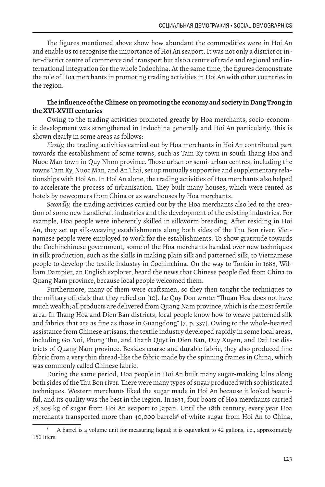The figures mentioned above show how abundant the commodities were in Hoi An and enable us to recognise the importance of Hoi An seaport. It was not only a district or inter-district centre of commerce and transport but also a centre of trade and regional and international integration for the whole Indochina. At the same time, the figures demonstrate the role of Hoa merchants in promoting trading activities in Hoi An with other countries in the region.

### **The influence of the Chinese on promoting the economy and society in Dang Trong in the XVI-XVIII centuries**

Owing to the trading activities promoted greatly by Hoa merchants, socio-economic development was strengthened in Indochina generally and Hoi An particularly. This is shown clearly in some areas as follows:

*Firstly,* the trading activities carried out by Hoa merchants in Hoi An contributed part towards the establishment of some towns, such as Tam Ky town in south Thang Hoa and Nuoc Man town in Quy Nhon province. Those urban or semi-urban centres, including the towns Tam Ky, Nuoc Man, and An Thai, set up mutually supportive and supplementary relationships with Hoi An. In Hoi An alone, the trading activities of Hoa merchants also helped to accelerate the process of urbanisation. They built many houses, which were rented as hotels by newcomers from China or as warehouses by Hoa merchants.

*Secondly,* the trading activities carried out by the Hoa merchants also led to the creation of some new handicraft industries and the development of the existing industries. For example, Hoa people were inherently skilled in silkworm breeding. After residing in Hoi An, they set up silk-weaving establishments along both sides of the Thu Bon river. Vietnamese people were employed to work for the establishments. To show gratitude towards the Cochinchinese government, some of the Hoa merchants handed over new techniques in silk production, such as the skills in making plain silk and patterned silk, to Vietnamese people to develop the textile industry in Cochinchina. On the way to Tonkin in 1688, William Dampier, an English explorer, heard the news that Chinese people fled from China to Quang Nam province, because local people welcomed them.

Furthermore, many of them were craftsmen, so they then taught the techniques to the military officials that they relied on [10]. Le Quy Don wrote: "Thuan Hoa does not have much wealth; all products are delivered from Quang Nam province, which is the most fertile area. In Thang Hoa and Dien Ban districts, local people know how to weave patterned silk and fabrics that are as fine as those in Guangdong" [7, p. 337]. Owing to the whole-hearted assistance from Chinese artisans, the textile industry developed rapidly in some local areas, including Go Noi, Phong Thu, and Thanh Quyt in Dien Ban, Duy Xuyen, and Dai Loc districts of Quang Nam province. Besides coarse and durable fabric, they also produced fine fabric from a very thin thread-like the fabric made by the spinning frames in China, which was commonly called Chinese fabric.

During the same period, Hoa people in Hoi An built many sugar-making kilns along both sides of the Thu Bon river. There were many types of sugar produced with sophisticated techniques. Western merchants liked the sugar made in Hoi An because it looked beautiful, and its quality was the best in the region. In 1633, four boats of Hoa merchants carried 76,205 kg of sugar from Hoi An seaport to Japan. Until the 18th century, every year Hoa merchants transported more than 40,000 barrels<sup>5</sup> of white sugar from Hoi An to China,

<sup>5</sup> A barrel is a volume unit for measuring liquid; it is equivalent to 42 gallons, i.e., approximately 150 liters.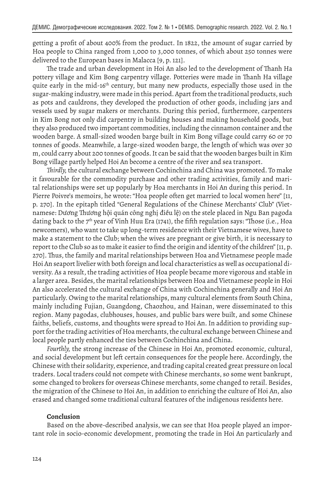getting a profit of about 400% from the product. In 1822, the amount of sugar carried by Hoa people to China ranged from 1,000 to 3,000 tonnes, of which about 250 tonnes were delivered to the European bases in Malacca [9, p. 121].

The trade and urban development in Hoi An also led to the development of Thanh Ha pottery village and Kim Bong carpentry village. Potteries were made in Thanh Ha village quite early in the mid-16<sup>th</sup> century, but many new products, especially those used in the sugar-making industry, were made in this period. Apart from the traditional products, such as pots and cauldrons, they developed the production of other goods, including jars and vessels used by sugar makers or merchants. During this period, furthermore, carpenters in Kim Bong not only did carpentry in building houses and making household goods, but they also produced two important commodities, including the cinnamon container and the wooden barge. A small-sized wooden barge built in Kim Bong village could carry 60 or 70 tonnes of goods. Meanwhile, a large-sized wooden barge, the length of which was over 30 m, could carry about 200 tonnes of goods. It can be said that the wooden barges built in Kim Bong village partly helped Hoi An become a centre of the river and sea transport.

*Thirdly,* the cultural exchange between Cochinchina and China was promoted. To make it favourable for the commodity purchase and other trading activities, family and marital relationships were set up popularly by Hoa merchants in Hoi An during this period. In Pierre Poivre's memoirs, he wrote: "Hoa people often get married to local women here" [11, p. 270]. In the epitaph titled "General Regulations of the Chinese Merchants' Club" (Vietnamese: Dương Thương hội quán công nghị điều lệ) on the stele placed in Ngu Ban pagoda dating back to the  $7<sup>th</sup>$  year of Vinh Huu Era (1741), the fifth regulation says: "Those (i.e., Hoa newcomers), who want to take up long-term residence with their Vietnamese wives, have to make a statement to the Club; when the wives are pregnant or give birth, it is necessary to report to the Club so as to make it easier to find the origin and identity of the children" [11, p. 270]. Thus, the family and marital relationships between Hoa and Vietnamese people made Hoi An seaport livelier with both foreign and local characteristics as well as occupational diversity. As a result, the trading activities of Hoa people became more vigorous and stable in a larger area. Besides, the marital relationships between Hoa and Vietnamese people in Hoi An also accelerated the cultural exchange of China with Cochinchina generally and Hoi An particularly. Owing to the marital relationships, many cultural elements from South China, mainly including Fujian, Guangdong, Chaozhou, and Hainan, were disseminated to this region. Many pagodas, clubhouses, houses, and public bars were built, and some Chinese faiths, beliefs, customs, and thoughts were spread to Hoi An. In addition to providing support for the trading activities of Hoa merchants, the cultural exchange between Chinese and local people partly enhanced the ties between Cochinchina and China.

*Fourthly,* the strong increase of the Chinese in Hoi An, promoted economic, cultural, and social development but left certain consequences for the people here. Accordingly, the Chinese with their solidarity, experience, and trading capital created great pressure on local traders. Local traders could not compete with Chinese merchants, so some went bankrupt, some changed to brokers for overseas Chinese merchants, some changed to retail. Besides, the migration of the Chinese to Hoi An, in addition to enriching the culture of Hoi An, also erased and changed some traditional cultural features of the indigenous residents here.

#### **Conclusion**

Based on the above-described analysis, we can see that Hoa people played an important role in socio-economic development, promoting the trade in Hoi An particularly and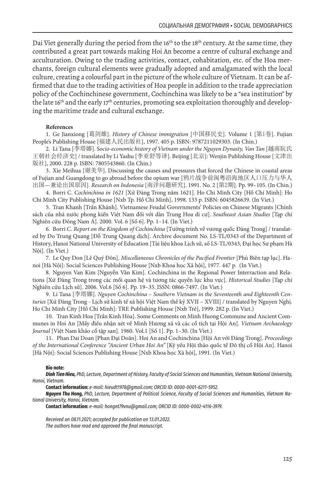Dai Viet generally during the period from the 16<sup>th</sup> to the 18<sup>th</sup> century. At the same time, they contributed a great part towards making Hoi An become a centre of cultural exchange and acculturation. Owing to the trading activities, contact, cohabitation, etc. of the Hoa merchants, foreign cultural elements were gradually adopted and amalgamated with the local culture, creating a colourful part in the picture of the whole culture of Vietnam. It can be affirmed that due to the trading activities of Hoa people in addition to the trade appreciation policy of the Cochinchinese government, Cochinchina was likely to be a "sea institution" by the late 16<sup>th</sup> and the early 17<sup>th</sup> centuries, promoting sea exploitation thoroughly and developing the maritime trade and cultural exchange.

#### **References**

1. Ge Jianxiong [葛剑雄]. *History of Chinese immigration* [中国移民史]. Volume 1 [第1卷]. Fujian People's Publishing House [福建人民出版社], 1997. 405 p. ISBN: 9787211029303. (In Chin.)

2. Li Tana [李塔娜]. S*ocio-economic history of Vietnam under the Nguyen Dynasty, Van Tan* [越南阮氏 王朝社会经济史] / translated by Li Yashu [李亚舒等译]. Beijing [北京]: Wenjin Publishing House [文津出 版社], 2000. 228 p. ISBN: 7805543860. (In Chin.)

3. Xie Meihua [谢美华]. Discussing the causes and pressures that forced the Chinese in coastal areas of Fujian and Guangdong to go abroad before the opium war [鸦片战争前闽粤沿海地区人口压力与华人 出国—兼论出国原因]. *Research on Indonesia* [南洋问题研究]. 1991. No. 2 [第2期]. Pp. 99–105. (In Chin.)

4. Borri C. *Cochinchina in 1621* [Xứ Đàng Trong năm 1621]. Ho Chi Minh City [Hồ Chí Minh]: Ho Chi Minh City Publishing House [Nxb Tp. Hồ Chí Minh], 1998. 133 p. ISBN: 6045826639. (In Viet.)

5. Tran Khanh [Trần Khánh]. Vietnamese Feudal Governments' Policies on Chinese Migrants [Chính sách của nhà nước phong kiến Việt Nam đối với dân Trung Hoa di cư]. *Southeast Asian Studies* [Tạp chí Nghiên cứu Đông Nam Á]. 2000. Vol. 6 [Số 6]. Pp. 1–14. (In Viet.)

6. Borri C. *Report on the Kingdom of Cochinchina* [Tường trình về vương quốc Đàng Trong] / translated by Do Trung Quang [Đỗ Trung Quang dịch]. Archive document No. LS-TL/0343 of the Department of History, Hanoi National University of Education [Tài liệu khoa Lịch sử, số LS-TL/0343, Đại học Sư phạm Hà Nội]. (In Viet.)

7. Le Quy Don [Lê Quý Đôn]. *Miscellaneous Chronicles of the Pacified Frontier* [Phủ Biên tạp lục]. Hanoi [Hà Nội]: Social Sciences Publishing House [Nxb Khoa học Xã hội], 1977. 447 p. (In Viet.)

8. Nguyen Van Kim [Nguyễn Văn Kim]. Cochinchina in the Regional Power Interraction and Relations [Xứ Đàng Trong trong các mối quan hệ và tương tác quyền lực khu vực]. *Historical Studies* [Tạp chí Nghiên cứu Lịch sử]. 2006. Vol.6 [Số 6]. Pp. 19–35. ISSN: 0866-7497. (In Viet.)

9. Li Tana [李塔娜]. *Nguyen Cochinchina – Southern Vietnam in the Seventeenth and Eighteenth Centuries* [Xứ Đàng Trong - Lịch sử kinh tế xã hội Việt Nam thế kỷ XVII – XVIII] / translated by Nguyen Nghị. Ho Chi Minh City [Hồ Chí Minh]: TRE Publishing House [Nxb Trẻ], 1999. 282 p. (In Viet.)

10. Tran Kinh Hoa [Trần Kinh Hòa]. Some Comments on Minh Huong Commune and Ancient Communes in Hoi An [Mấy điều nhận xét về Minh Hương xã và các cổ tích tại Hội An]. *Vietnam Archaeology Journal* [Việt Nam khảo cổ tập san]. 1960. Vol.1 [Số 1]. Pp. 1–30. (In Viet.)

11. Phan Dai Doan [Phan Đại Doãn]. Hoi An and Cochinchina [Hội An với Đàng Trong]. *Proceedings of the International Conference "Ancient Urban Hoi An"* [Kỷ yếu Hội thảo quốc tế Đô thị cổ Hội An]. Hanoi [Hà Nội]: Social Sciences Publishing House [Nxb Khoa học Xã hội], 1991. (In Viet.)

#### **Bio note:**

*Dinh Tien Hieu, PhD, Lecture, Department of History, Faculty of Social Sciences and Humanities, Vietnam National University, Hanoi, Vietnam.*

**Contact information:** *e-mail: hieudt1978@gmail.com; ORCID ID: 0000-0001-6211-5952.*

*Nguyen Thu Hong, PhD, Lecture, Department of Political Science, Faculty of Social Sciences and Humanities, Vietnam National University, Hanoi, Vietnam.*

**Contact information:** *e-mail: hongnt79vnu@gmail.com; ORCID ID: 0000-0002-4116-3979.*

*Received on 08.11.2021; accepted for publication on 13.01.2022. The authors have read and approved the final manuscript.*